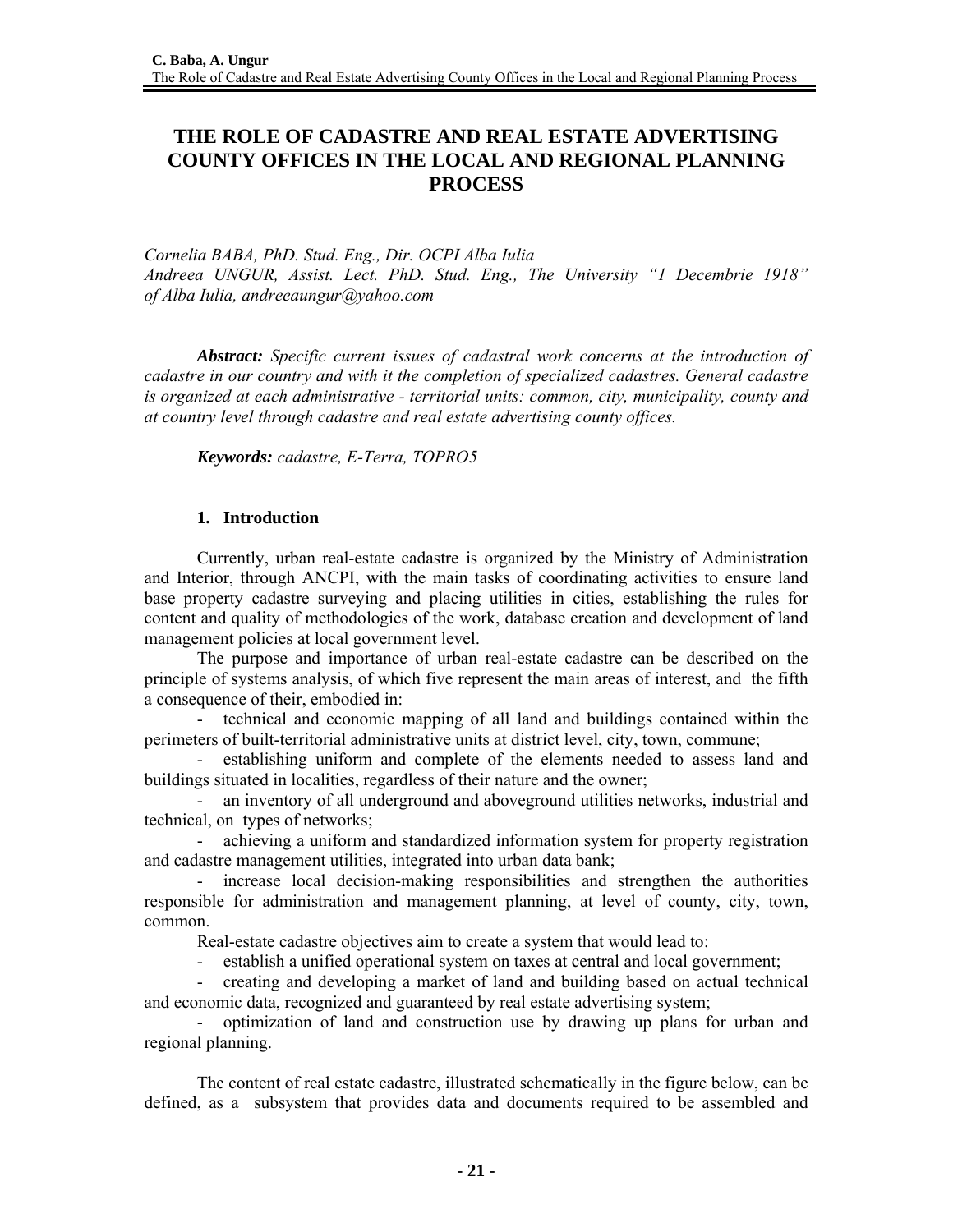# **THE ROLE OF CADASTRE AND REAL ESTATE ADVERTISING COUNTY OFFICES IN THE LOCAL AND REGIONAL PLANNING PROCESS**

*Cornelia BABA, PhD. Stud. Eng., Dir. OCPI Alba Iulia Andreea UNGUR, Assist. Lect. PhD. Stud. Eng., The University "1 Decembrie 1918" of Alba Iulia, andreeaungur@yahoo.com*

*Abstract: Specific current issues of cadastral work concerns at the introduction of cadastre in our country and with it the completion of specialized cadastres. General cadastre is organized at each administrative - territorial units: common, city, municipality, county and at country level through cadastre and real estate advertising county offices.*

*Keywords: cadastre, E-Terra, TOPRO5*

# **1. Introduction**

Currently, urban real-estate cadastre is organized by the Ministry of Administration and Interior, through ANCPI, with the main tasks of coordinating activities to ensure land base property cadastre surveying and placing utilities in cities, establishing the rules for content and quality of methodologies of the work, database creation and development of land management policies at local government level.

The purpose and importance of urban real-estate cadastre can be described on the principle of systems analysis, of which five represent the main areas of interest, and the fifth a consequence of their, embodied in:

- technical and economic mapping of all land and buildings contained within the perimeters of built-territorial administrative units at district level, city, town, commune;

- establishing uniform and complete of the elements needed to assess land and buildings situated in localities, regardless of their nature and the owner;

- an inventory of all underground and aboveground utilities networks, industrial and technical, on types of networks;

- achieving a uniform and standardized information system for property registration and cadastre management utilities, integrated into urban data bank;

- increase local decision-making responsibilities and strengthen the authorities responsible for administration and management planning, at level of county, city, town, common.

Real-estate cadastre objectives aim to create a system that would lead to:

- establish a unified operational system on taxes at central and local government;

- creating and developing a market of land and building based on actual technical and economic data, recognized and guaranteed by real estate advertising system;

- optimization of land and construction use by drawing up plans for urban and regional planning.

The content of real estate cadastre, illustrated schematically in the figure below, can be defined, as a subsystem that provides data and documents required to be assembled and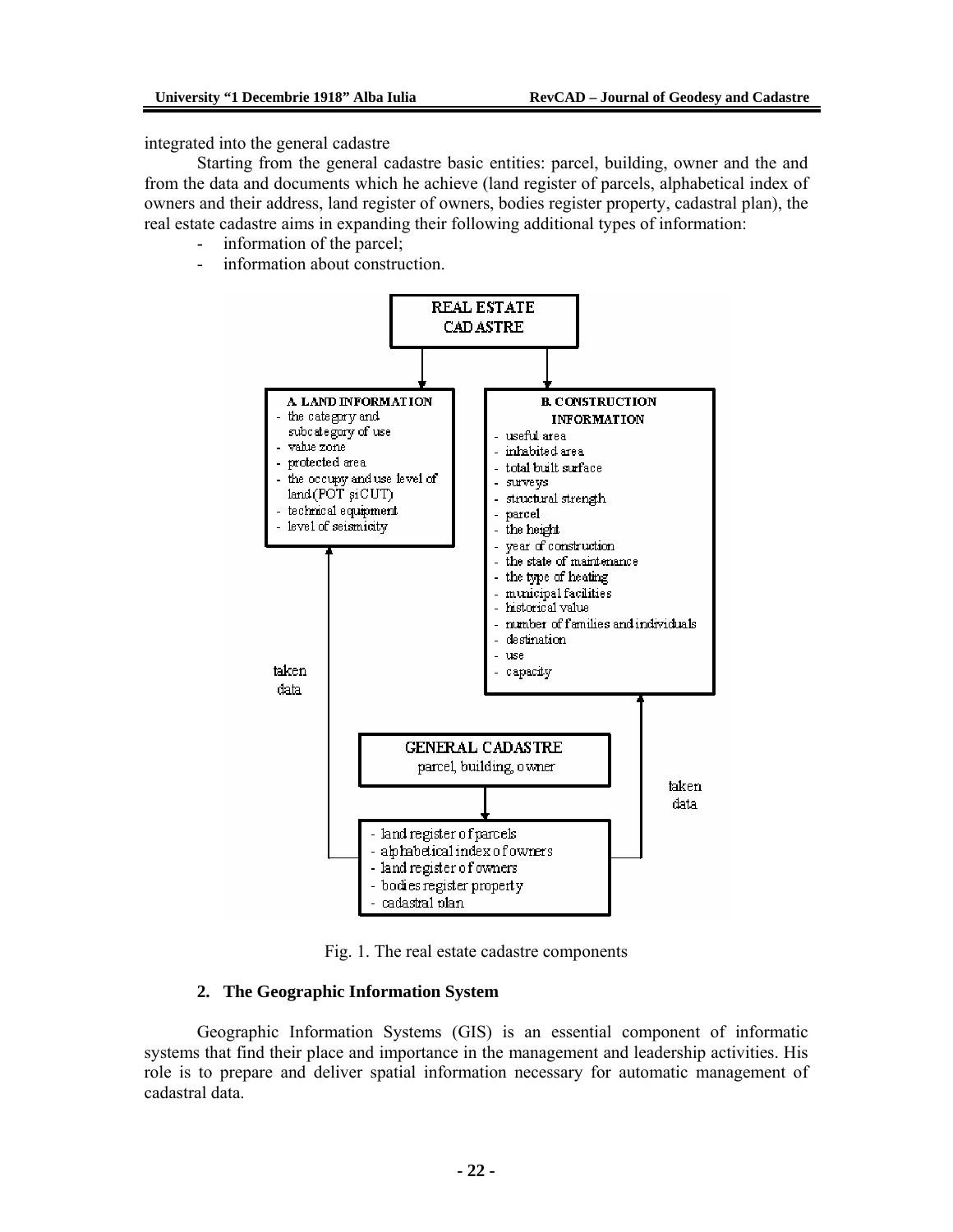integrated into the general cadastre

Starting from the general cadastre basic entities: parcel, building, owner and the and from the data and documents which he achieve (land register of parcels, alphabetical index of owners and their address, land register of owners, bodies register property, cadastral plan), the real estate cadastre aims in expanding their following additional types of information:

- information of the parcel;
- information about construction.



Fig. 1. The real estate cadastre components

#### **2. The Geographic Information System**

Geographic Information Systems (GIS) is an essential component of informatic systems that find their place and importance in the management and leadership activities. His role is to prepare and deliver spatial information necessary for automatic management of cadastral data.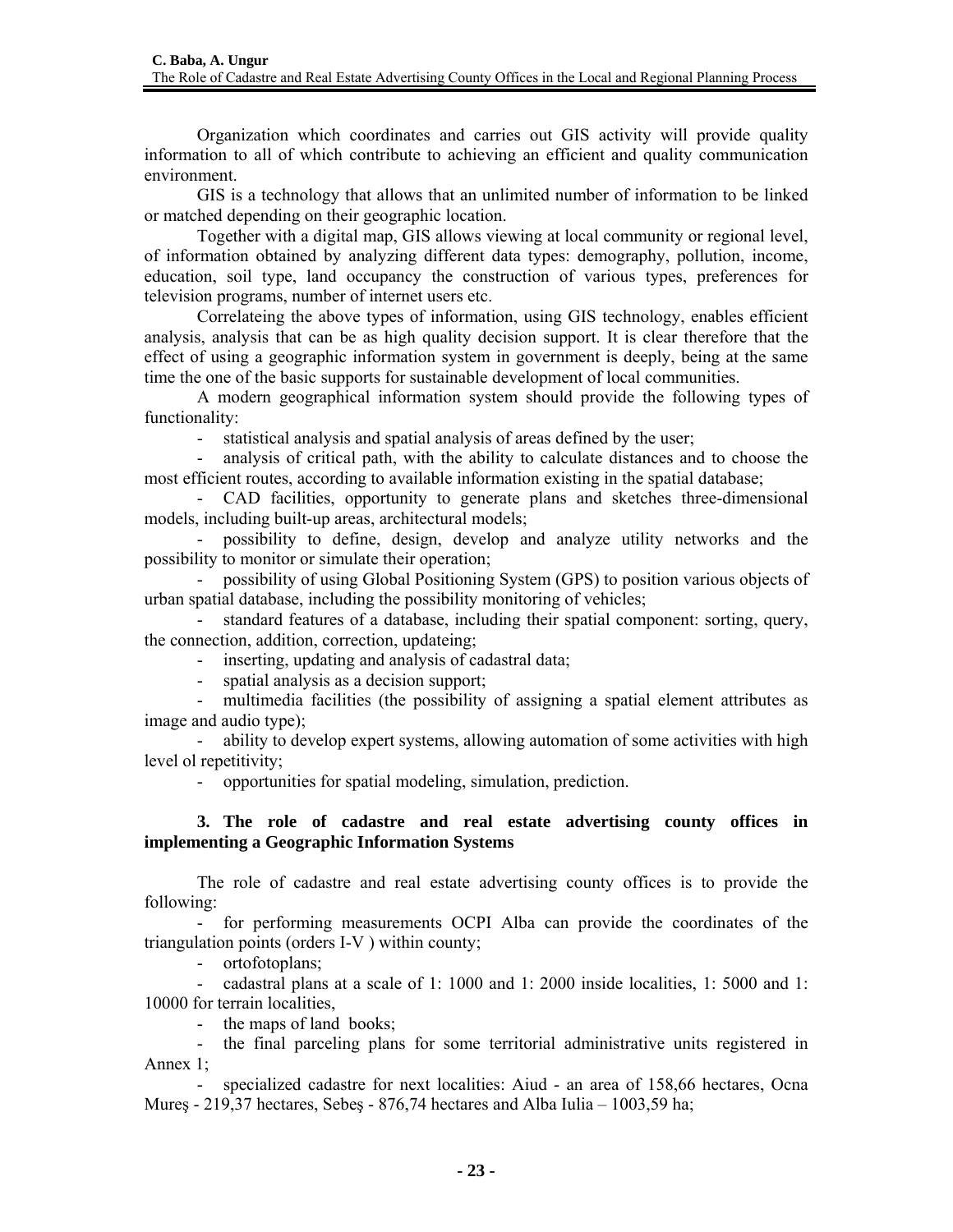Organization which coordinates and carries out GIS activity will provide quality information to all of which contribute to achieving an efficient and quality communication environment.

GIS is a technology that allows that an unlimited number of information to be linked or matched depending on their geographic location.

Together with a digital map, GIS allows viewing at local community or regional level, of information obtained by analyzing different data types: demography, pollution, income, education, soil type, land occupancy the construction of various types, preferences for television programs, number of internet users etc.

Correlateing the above types of information, using GIS technology, enables efficient analysis, analysis that can be as high quality decision support. It is clear therefore that the effect of using a geographic information system in government is deeply, being at the same time the one of the basic supports for sustainable development of local communities.

A modern geographical information system should provide the following types of functionality:

- statistical analysis and spatial analysis of areas defined by the user;

- analysis of critical path, with the ability to calculate distances and to choose the most efficient routes, according to available information existing in the spatial database;

- CAD facilities, opportunity to generate plans and sketches three-dimensional models, including built-up areas, architectural models;

- possibility to define, design, develop and analyze utility networks and the possibility to monitor or simulate their operation;

- possibility of using Global Positioning System (GPS) to position various objects of urban spatial database, including the possibility monitoring of vehicles;

- standard features of a database, including their spatial component: sorting, query, the connection, addition, correction, updateing;

- inserting, updating and analysis of cadastral data;

- spatial analysis as a decision support;

- multimedia facilities (the possibility of assigning a spatial element attributes as image and audio type);

- ability to develop expert systems, allowing automation of some activities with high level ol repetitivity;

- opportunities for spatial modeling, simulation, prediction.

# **3. The role of cadastre and real estate advertising county offices in implementing a Geographic Information Systems**

The role of cadastre and real estate advertising county offices is to provide the following:

- for performing measurements OCPI Alba can provide the coordinates of the triangulation points (orders I-V ) within county;

- ortofotoplans;

- cadastral plans at a scale of 1: 1000 and 1: 2000 inside localities, 1: 5000 and 1: 10000 for terrain localities,

- the maps of land books;

- the final parceling plans for some territorial administrative units registered in Annex 1;

specialized cadastre for next localities: Aiud - an area of 158,66 hectares, Ocna Mureş - 219,37 hectares, Sebeş - 876,74 hectares and Alba Iulia – 1003,59 ha;